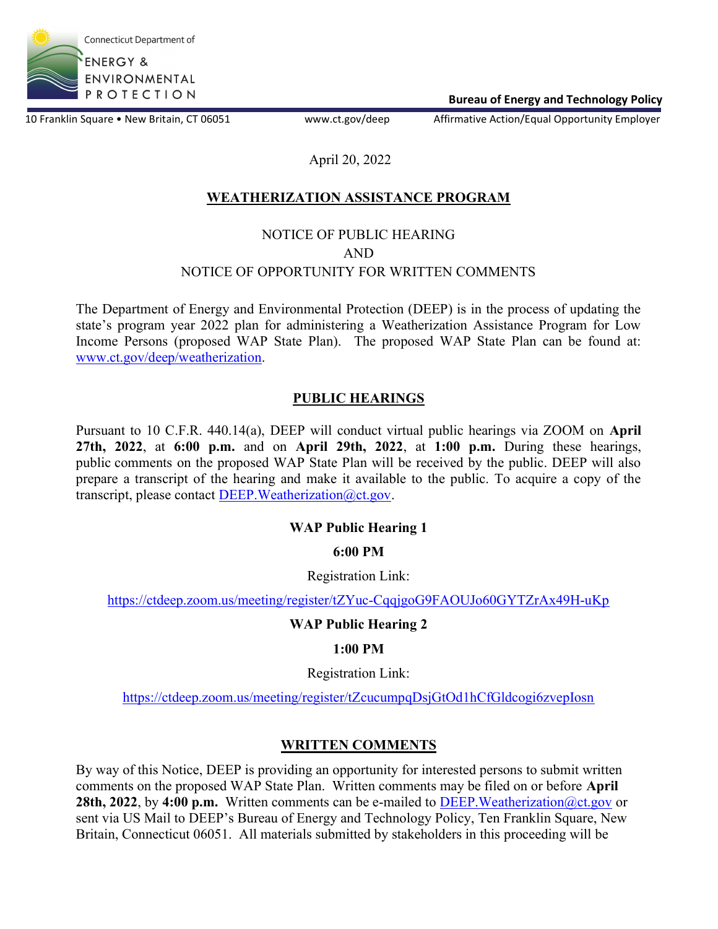

Bureau of Energy and Technology Policy

10 Franklin Square • New Britain, CT 06051 www.ct.gov/deep Affirmative Action/Equal Opportunity Employer

## April 20, 2022

# WEATHERIZATION ASSISTANCE PROGRAM

### NOTICE OF PUBLIC HEARING AND NOTICE OF OPPORTUNITY FOR WRITTEN COMMENTS

The Department of Energy and Environmental Protection (DEEP) is in the process of updating the state's program year 2022 plan for administering a Weatherization Assistance Program for Low Income Persons (proposed WAP State Plan). The proposed WAP State Plan can be found at: www.ct.gov/deep/weatherization.

### PUBLIC HEARINGS

Pursuant to 10 C.F.R. 440.14(a), DEEP will conduct virtual public hearings via ZOOM on April 27th,  $2022$ , at  $6:00$  p.m. and on April 29th,  $2022$ , at  $1:00$  p.m. During these hearings, public comments on the proposed WAP State Plan will be received by the public. DEEP will also prepare a transcript of the hearing and make it available to the public. To acquire a copy of the transcript, please contact DEEP. Weatherization@ct.gov.

### WAP Public Hearing 1

### 6:00 PM

#### Registration Link:

https://ctdeep.zoom.us/meeting/register/tZYuc-CqqjgoG9FAOUJo60GYTZrAx49H-uKp

### WAP Public Hearing 2

### 1:00 PM

Registration Link:

https://ctdeep.zoom.us/meeting/register/tZcucumpqDsjGtOd1hCfGldcogi6zvepIosn

### WRITTEN COMMENTS

By way of this Notice, DEEP is providing an opportunity for interested persons to submit written comments on the proposed WAP State Plan. Written comments may be filed on or before April 28th, 2022, by 4:00 p.m. Written comments can be e-mailed to DEEP. Weatherization  $@ct.gov$  or sent via US Mail to DEEP's Bureau of Energy and Technology Policy, Ten Franklin Square, New Britain, Connecticut 06051. All materials submitted by stakeholders in this proceeding will be